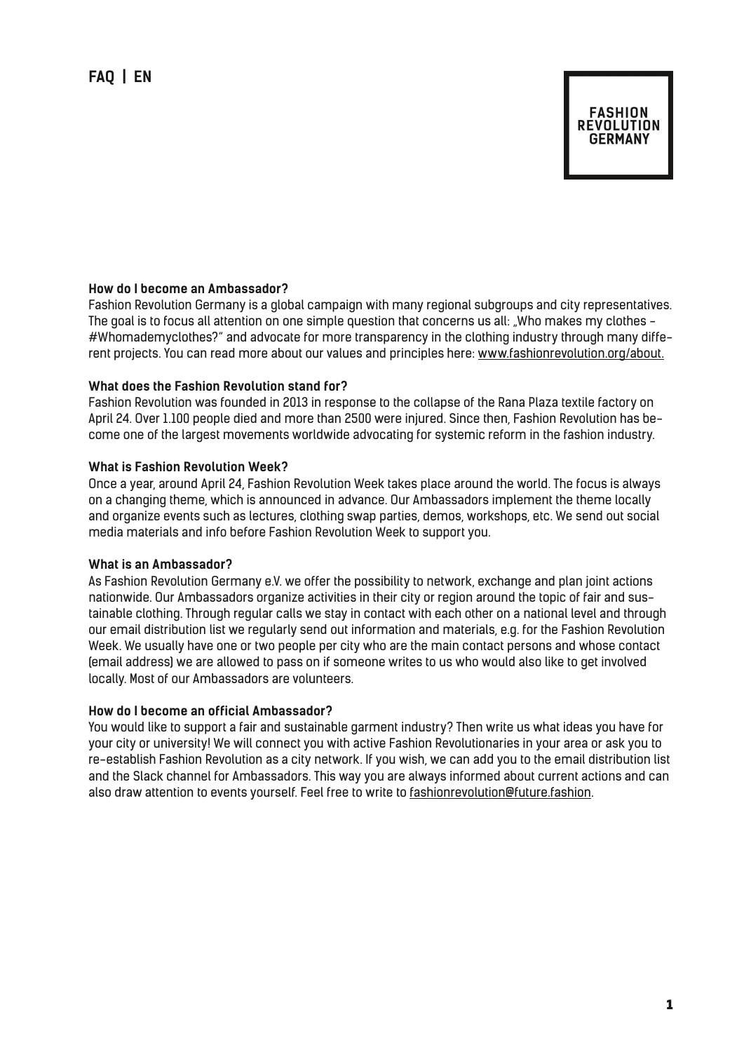# **FASHION REVOLUTION GERMANY**

### **How do I become an Ambassador?**

Fashion Revolution Germany is a global campaign with many regional subgroups and city representatives. The goal is to focus all attention on one simple question that concerns us all: "Who makes my clothes -#Whomademyclothes?" and advocate for more transparency in the clothing industry through many different projects. You can read more about our values and principles here: www.fashionrevolution.org/about.

#### **What does the Fashion Revolution stand for?**

Fashion Revolution was founded in 2013 in response to the collapse of the Rana Plaza textile factory on April 24. Over 1.100 people died and more than 2500 were injured. Since then, Fashion Revolution has become one of the largest movements worldwide advocating for systemic reform in the fashion industry.

### **What is Fashion Revolution Week?**

Once a year, around April 24, Fashion Revolution Week takes place around the world. The focus is always on a changing theme, which is announced in advance. Our Ambassadors implement the theme locally and organize events such as lectures, clothing swap parties, demos, workshops, etc. We send out social media materials and info before Fashion Revolution Week to support you.

#### **What is an Ambassador?**

As Fashion Revolution Germany e.V. we offer the possibility to network, exchange and plan joint actions nationwide. Our Ambassadors organize activities in their city or region around the topic of fair and sustainable clothing. Through regular calls we stay in contact with each other on a national level and through our email distribution list we regularly send out information and materials, e.g. for the Fashion Revolution Week. We usually have one or two people per city who are the main contact persons and whose contact (email address) we are allowed to pass on if someone writes to us who would also like to get involved locally. Most of our Ambassadors are volunteers.

## **How do I become an official Ambassador?**

You would like to support a fair and sustainable garment industry? Then write us what ideas you have for your city or university! We will connect you with active Fashion Revolutionaries in your area or ask you to re-establish Fashion Revolution as a city network. If you wish, we can add you to the email distribution list and the Slack channel for Ambassadors. This way you are always informed about current actions and can also draw attention to events yourself. Feel free to write to fashionrevolution@future.fashion.